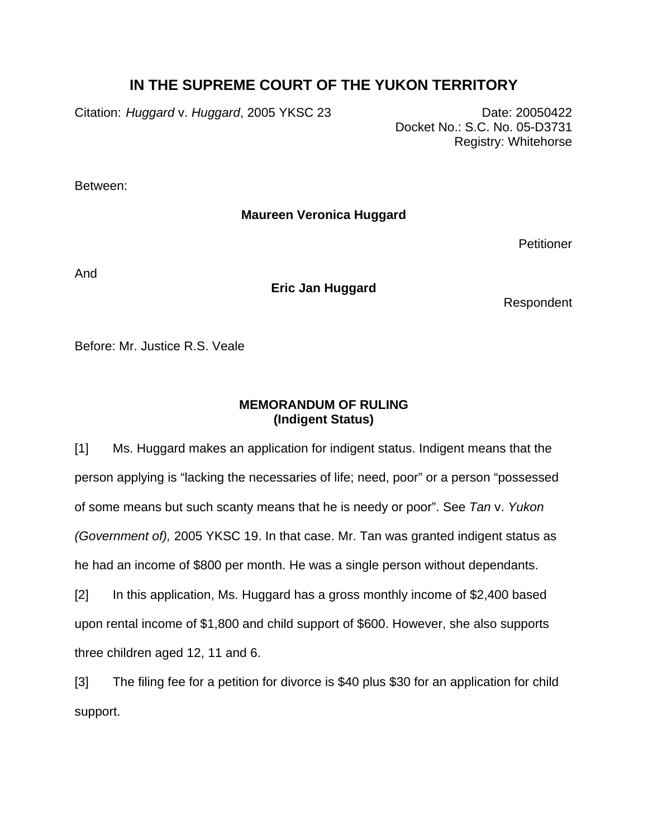## **IN THE SUPREME COURT OF THE YUKON TERRITORY**

Citation: *Huggard v. Huggard*, 2005 YKSC 23 Date: 20050422

Docket No.: S.C. No. 05-D3731 Registry: Whitehorse

Between:

**Maureen Veronica Huggard** 

**Petitioner** 

And

**Eric Jan Huggard** 

Respondent

Before: Mr. Justice R.S. Veale

## **MEMORANDUM OF RULING (Indigent Status)**

[1] Ms. Huggard makes an application for indigent status. Indigent means that the person applying is "lacking the necessaries of life; need, poor" or a person "possessed of some means but such scanty means that he is needy or poor". See *Tan* v. *Yukon (Government of),* 2005 YKSC 19. In that case. Mr. Tan was granted indigent status as he had an income of \$800 per month. He was a single person without dependants.

[2] In this application, Ms. Huggard has a gross monthly income of \$2,400 based upon rental income of \$1,800 and child support of \$600. However, she also supports three children aged 12, 11 and 6.

[3] The filing fee for a petition for divorce is \$40 plus \$30 for an application for child support.